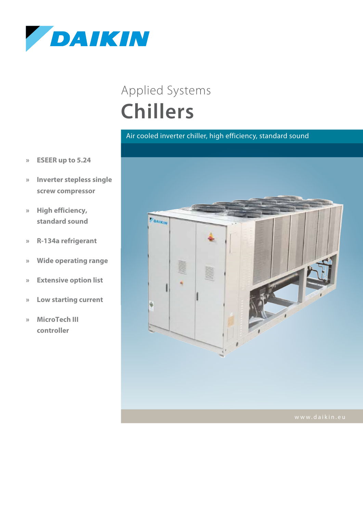

## **Chillers** Applied Systems

## Air cooled inverter chiller, high efficiency, standard sound

- **» ESEER up to 5.24**
- **» Inverter stepless single screw compressor**
- **» High efficiency, standard sound**
- **» R-134a refrigerant**
- **» Wide operating range**
- **» Extensive option list**
- **» Low starting current**
- **» MicroTech III controller**